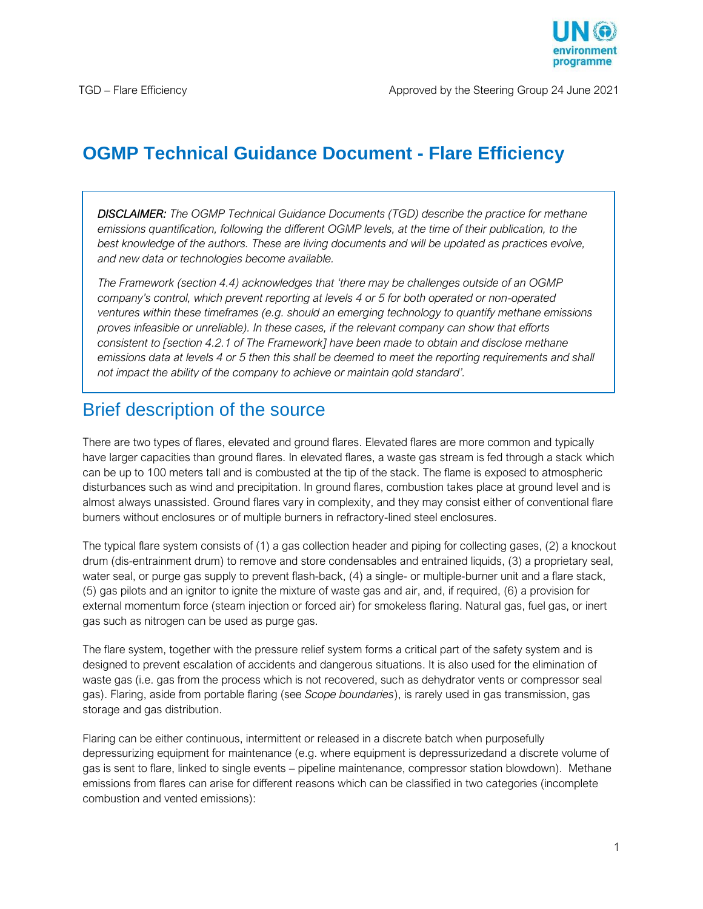

# **OGMP Technical Guidance Document - Flare Efficiency**

*DISCLAIMER: The OGMP Technical Guidance Documents (TGD) describe the practice for methane emissions quantification, following the different OGMP levels, at the time of their publication, to the best knowledge of the authors. These are living documents and will be updated as practices evolve, and new data or technologies become available.*

*The Framework (section 4.4) acknowledges that 'there may be challenges outside of an OGMP company's control, which prevent reporting at levels 4 or 5 for both operated or non-operated ventures within these timeframes (e.g. should an emerging technology to quantify methane emissions proves infeasible or unreliable). In these cases, if the relevant company can show that efforts consistent to [section 4.2.1 of The Framework] have been made to obtain and disclose methane emissions data at levels 4 or 5 then this shall be deemed to meet the reporting requirements and shall not impact the ability of the company to achieve or maintain gold standard'.*

### Brief description of the source

There are two types of flares, elevated and ground flares. Elevated flares are more common and typically have larger capacities than ground flares. In elevated flares, a waste gas stream is fed through a stack which can be up to 100 meters tall and is combusted at the tip of the stack. The flame is exposed to atmospheric disturbances such as wind and precipitation. In ground flares, combustion takes place at ground level and is almost always unassisted. Ground flares vary in complexity, and they may consist either of conventional flare burners without enclosures or of multiple burners in refractory-lined steel enclosures.

The typical flare system consists of (1) a gas collection header and piping for collecting gases, (2) a knockout drum (dis-entrainment drum) to remove and store condensables and entrained liquids, (3) a proprietary seal, water seal, or purge gas supply to prevent flash-back, (4) a single- or multiple-burner unit and a flare stack, (5) gas pilots and an ignitor to ignite the mixture of waste gas and air, and, if required, (6) a provision for external momentum force (steam injection or forced air) for smokeless flaring. Natural gas, fuel gas, or inert gas such as nitrogen can be used as purge gas.

The flare system, together with the pressure relief system forms a critical part of the safety system and is designed to prevent escalation of accidents and dangerous situations. It is also used for the elimination of waste gas (i.e. gas from the process which is not recovered, such as dehydrator vents or compressor seal gas). Flaring, aside from portable flaring (see *Scope boundaries*), is rarely used in gas transmission, gas storage and gas distribution.

Flaring can be either continuous, intermittent or released in a discrete batch when purposefully depressurizing equipment for maintenance (e.g. where equipment is depressurizedand a discrete volume of gas is sent to flare, linked to single events – pipeline maintenance, compressor station blowdown). Methane emissions from flares can arise for different reasons which can be classified in two categories (incomplete combustion and vented emissions):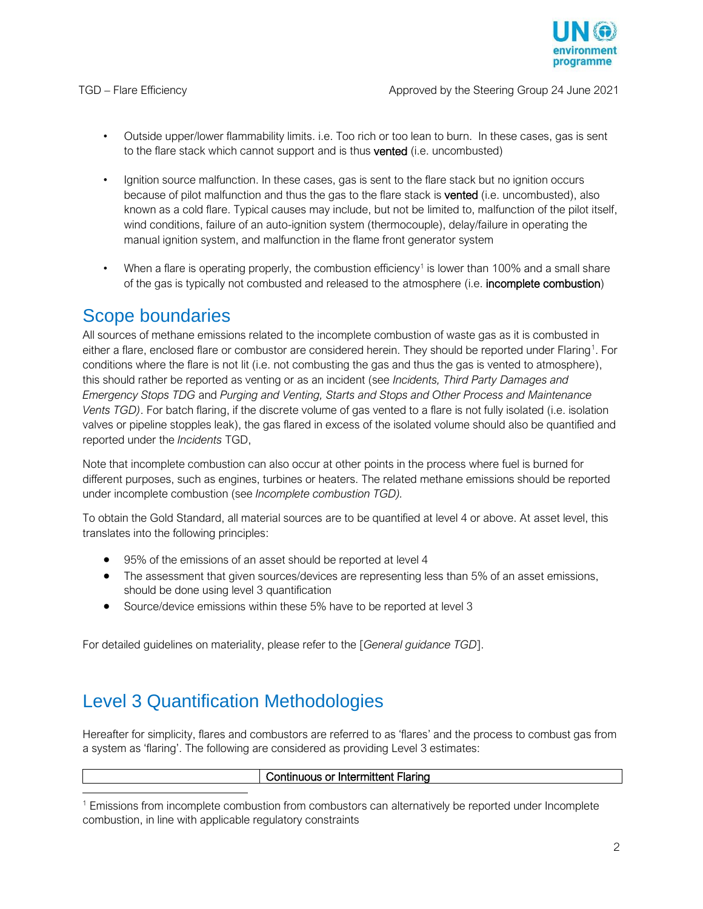

- Outside upper/lower flammability limits. i.e. Too rich or too lean to burn. In these cases, gas is sent to the flare stack which cannot support and is thus vented (i.e. uncombusted)
- Ignition source malfunction. In these cases, gas is sent to the flare stack but no ignition occurs because of pilot malfunction and thus the gas to the flare stack is vented (i.e. uncombusted), also known as a cold flare. Typical causes may include, but not be limited to, malfunction of the pilot itself, wind conditions, failure of an auto-ignition system (thermocouple), delay/failure in operating the manual ignition system, and malfunction in the flame front generator system
- When a flare is operating properly, the combustion efficiency<sup>1</sup> is lower than 100% and a small share of the gas is typically not combusted and released to the atmosphere (i.e. incomplete combustion)

## Scope boundaries

All sources of methane emissions related to the incomplete combustion of waste gas as it is combusted in either a flare, enclosed flare or combustor are considered herein. They should be reported under Flaring<sup>1</sup>. For conditions where the flare is not lit (i.e. not combusting the gas and thus the gas is vented to atmosphere), this should rather be reported as venting or as an incident (see *Incidents, Third Party Damages and Emergency Stops TDG* and *Purging and Venting, Starts and Stops and Other Process and Maintenance Vents TGD)*. For batch flaring, if the discrete volume of gas vented to a flare is not fully isolated (i.e. isolation valves or pipeline stopples leak), the gas flared in excess of the isolated volume should also be quantified and reported under the *Incidents* TGD,

Note that incomplete combustion can also occur at other points in the process where fuel is burned for different purposes, such as engines, turbines or heaters. The related methane emissions should be reported under incomplete combustion (see *Incomplete combustion TGD).*

To obtain the Gold Standard, all material sources are to be quantified at level 4 or above. At asset level, this translates into the following principles:

- 95% of the emissions of an asset should be reported at level 4
- The assessment that given sources/devices are representing less than 5% of an asset emissions, should be done using level 3 quantification
- Source/device emissions within these 5% have to be reported at level 3

For detailed guidelines on materiality, please refer to the [*General guidance TGD*].

# Level 3 Quantification Methodologies

Hereafter for simplicity, flares and combustors are referred to as 'flares' and the process to combust gas from a system as 'flaring'. The following are considered as providing Level 3 estimates:

| $\overline{\phantom{a}}$<br>. .<br>"<br>.<br>'N<br>ΉΙ<br>ш<br>.<br>אווי<br>i II Iu<br>$\overline{\phantom{a}}$<br>ıa |
|----------------------------------------------------------------------------------------------------------------------|
|                                                                                                                      |
|                                                                                                                      |

<sup>1</sup> Emissions from incomplete combustion from combustors can alternatively be reported under Incomplete combustion, in line with applicable regulatory constraints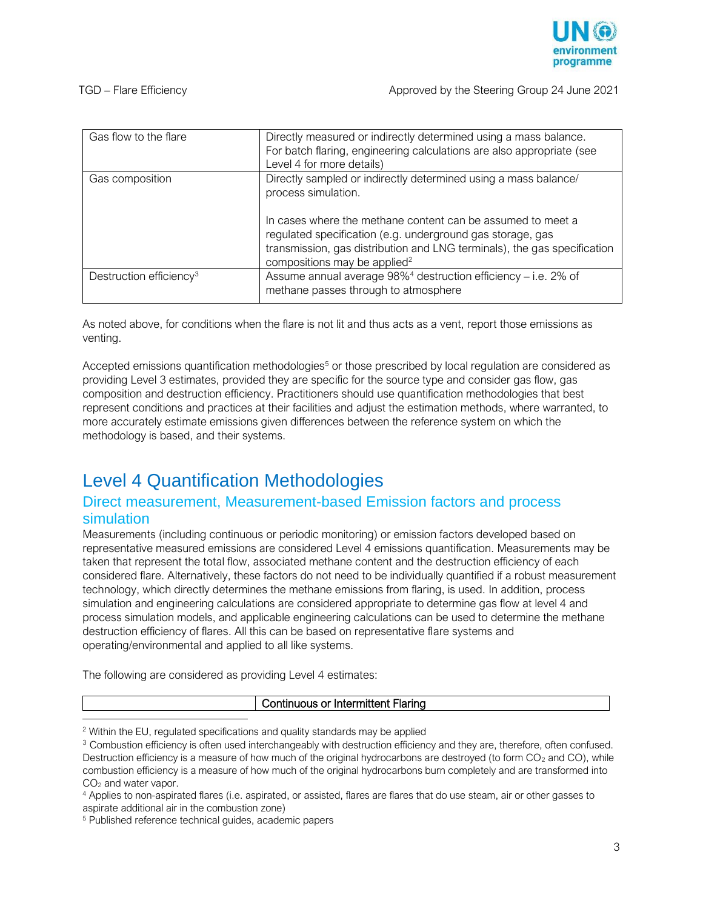

| Gas flow to the flare               | Directly measured or indirectly determined using a mass balance.<br>For batch flaring, engineering calculations are also appropriate (see<br>Level 4 for more details)                                                                            |
|-------------------------------------|---------------------------------------------------------------------------------------------------------------------------------------------------------------------------------------------------------------------------------------------------|
| Gas composition                     | Directly sampled or indirectly determined using a mass balance/<br>process simulation.                                                                                                                                                            |
|                                     | In cases where the methane content can be assumed to meet a<br>regulated specification (e.g. underground gas storage, gas<br>transmission, gas distribution and LNG terminals), the gas specification<br>compositions may be applied <sup>2</sup> |
| Destruction efficiency <sup>3</sup> | Assume annual average $98\%$ <sup>4</sup> destruction efficiency – i.e. 2% of<br>methane passes through to atmosphere                                                                                                                             |

As noted above, for conditions when the flare is not lit and thus acts as a vent, report those emissions as venting.

Accepted emissions quantification methodologies<sup>5</sup> or those prescribed by local regulation are considered as providing Level 3 estimates, provided they are specific for the source type and consider gas flow, gas composition and destruction efficiency. Practitioners should use quantification methodologies that best represent conditions and practices at their facilities and adjust the estimation methods, where warranted, to more accurately estimate emissions given differences between the reference system on which the methodology is based, and their systems.

# Level 4 Quantification Methodologies

### Direct measurement, Measurement-based Emission factors and process simulation

Measurements (including continuous or periodic monitoring) or emission factors developed based on representative measured emissions are considered Level 4 emissions quantification. Measurements may be taken that represent the total flow, associated methane content and the destruction efficiency of each considered flare. Alternatively, these factors do not need to be individually quantified if a robust measurement technology, which directly determines the methane emissions from flaring, is used. In addition, process simulation and engineering calculations are considered appropriate to determine gas flow at level 4 and process simulation models, and applicable engineering calculations can be used to determine the methane destruction efficiency of flares. All this can be based on representative flare systems and operating/environmental and applied to all like systems.

The following are considered as providing Level 4 estimates:

#### Continuous or Intermittent Flaring

<sup>5</sup> Published reference technical guides, academic papers

 $\overline{a}$ 

<sup>&</sup>lt;sup>2</sup> Within the EU, regulated specifications and quality standards may be applied

<sup>&</sup>lt;sup>3</sup> Combustion efficiency is often used interchangeably with destruction efficiency and they are, therefore, often confused. Destruction efficiency is a measure of how much of the original hydrocarbons are destroyed (to form  $CO<sub>2</sub>$  and CO), while combustion efficiency is a measure of how much of the original hydrocarbons burn completely and are transformed into CO<sup>2</sup> and water vapor.

<sup>4</sup> Applies to non-aspirated flares (i.e. aspirated, or assisted, flares are flares that do use steam, air or other gasses to aspirate additional air in the combustion zone)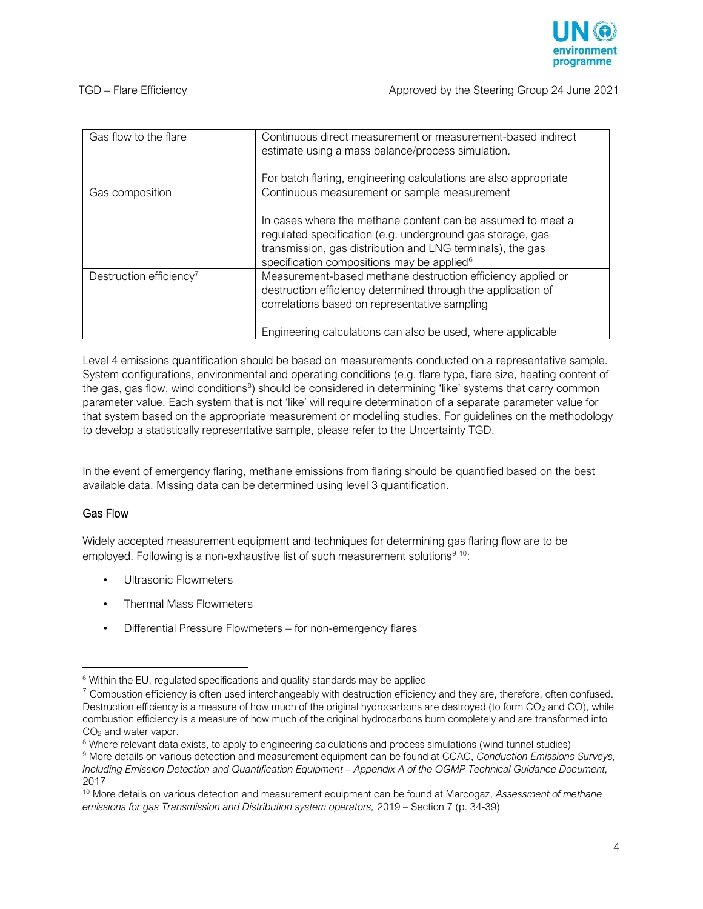

| Gas flow to the flare               | Continuous direct measurement or measurement-based indirect<br>estimate using a mass balance/process simulation.<br>For batch flaring, engineering calculations are also appropriate                                                              |
|-------------------------------------|---------------------------------------------------------------------------------------------------------------------------------------------------------------------------------------------------------------------------------------------------|
| Gas composition                     | Continuous measurement or sample measurement                                                                                                                                                                                                      |
|                                     | In cases where the methane content can be assumed to meet a<br>regulated specification (e.g. underground gas storage, gas<br>transmission, gas distribution and LNG terminals), the gas<br>specification compositions may be applied <sup>6</sup> |
| Destruction efficiency <sup>7</sup> | Measurement-based methane destruction efficiency applied or<br>destruction efficiency determined through the application of<br>correlations based on representative sampling                                                                      |
|                                     | Engineering calculations can also be used, where applicable                                                                                                                                                                                       |

Level 4 emissions quantification should be based on measurements conducted on a representative sample. System configurations, environmental and operating conditions (e.g. flare type, flare size, heating content of the gas, gas flow, wind conditions<sup>8</sup>) should be considered in determining 'like' systems that carry common parameter value. Each system that is not 'like' will require determination of a separate parameter value for that system based on the appropriate measurement or modelling studies. For guidelines on the methodology to develop a statistically representative sample, please refer to the Uncertainty TGD.

In the event of emergency flaring, methane emissions from flaring should be quantified based on the best available data. Missing data can be determined using level 3 quantification.

#### Gas Flow

j

Widely accepted measurement equipment and techniques for determining gas flaring flow are to be employed. Following is a non-exhaustive list of such measurement solutions<sup>9 10</sup>:

- Ultrasonic Flowmeters
- Thermal Mass Flowmeters
- Differential Pressure Flowmeters for non-emergency flares

 $6$  Within the EU, regulated specifications and quality standards may be applied

 $7$  Combustion efficiency is often used interchangeably with destruction efficiency and they are, therefore, often confused. Destruction efficiency is a measure of how much of the original hydrocarbons are destroyed (to form  $CO<sub>2</sub>$  and CO), while combustion efficiency is a measure of how much of the original hydrocarbons burn completely and are transformed into CO<sub>2</sub> and water vapor.

<sup>&</sup>lt;sup>8</sup> Where relevant data exists, to apply to engineering calculations and process simulations (wind tunnel studies)

<sup>9</sup> More details on various detection and measurement equipment can be found at CCAC, *Conduction Emissions Surveys, Including Emission Detection and Quantification Equipment – Appendix A of the OGMP Technical Guidance Document,* 2017

<sup>10</sup> More details on various detection and measurement equipment can be found at Marcogaz, *Assessment of methane emissions for gas Transmission and Distribution system operators,* 2019 – Section 7 (p. 34-39)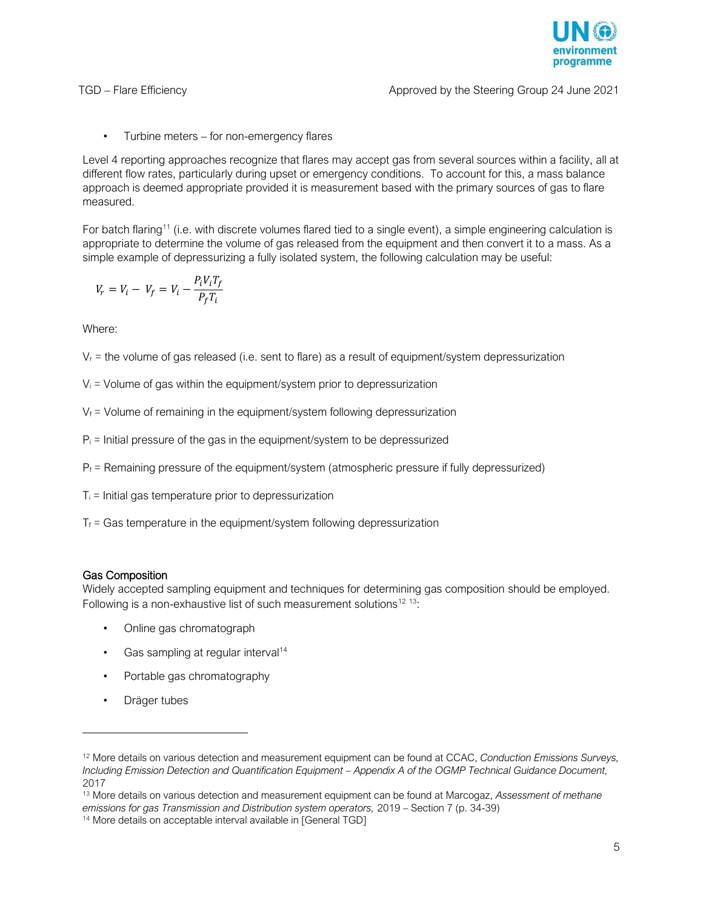

• Turbine meters – for non-emergency flares

Level 4 reporting approaches recognize that flares may accept gas from several sources within a facility, all at different flow rates, particularly during upset or emergency conditions. To account for this, a mass balance approach is deemed appropriate provided it is measurement based with the primary sources of gas to flare measured.

For batch flaring<sup>11</sup> (i.e. with discrete volumes flared tied to a single event), a simple engineering calculation is appropriate to determine the volume of gas released from the equipment and then convert it to a mass. As a simple example of depressurizing a fully isolated system, the following calculation may be useful:

$$
V_r = V_i - V_f = V_i - \frac{P_i V_i T_f}{P_f T_i}
$$

Where:

 $V<sub>r</sub>$  = the volume of gas released (i.e. sent to flare) as a result of equipment/system depressurization

- $V_i$  = Volume of gas within the equipment/system prior to depressurization
- $V_f$  = Volume of remaining in the equipment/system following depressurization
- $P_i$  = Initial pressure of the gas in the equipment/system to be depressurized
- $P_f$  = Remaining pressure of the equipment/system (atmospheric pressure if fully depressurized)
- $T_i$  = Initial gas temperature prior to depressurization
- $T_f$  = Gas temperature in the equipment/system following depressurization

#### Gas Composition

Widely accepted sampling equipment and techniques for determining gas composition should be employed. Following is a non-exhaustive list of such measurement solutions<sup>12 13</sup>:

- Online gas chromatograph
- Gas sampling at regular interval<sup>14</sup>
- Portable gas chromatography
- Dräger tubes

j

<sup>12</sup> More details on various detection and measurement equipment can be found at CCAC, *Conduction Emissions Surveys, Including Emission Detection and Quantification Equipment - Appendix A of the OGMP Technical Guidance Document,* 2017

<sup>13</sup> More details on various detection and measurement equipment can be found at Marcogaz, *Assessment of methane emissions for gas Transmission and Distribution system operators,* 2019 – Section 7 (p. 34-39)

<sup>&</sup>lt;sup>14</sup> More details on acceptable interval available in [General TGD]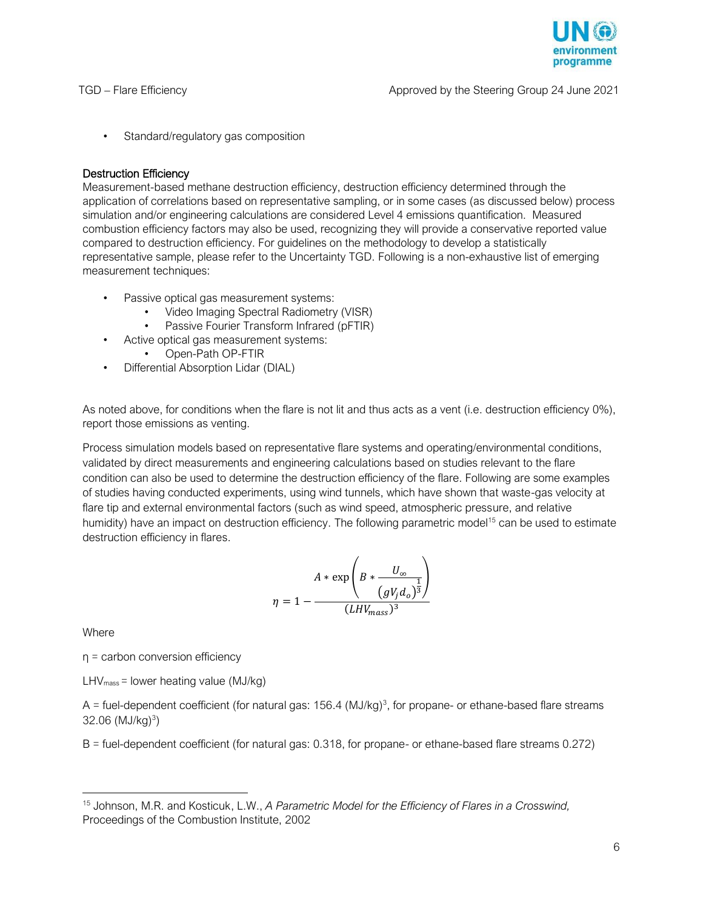

• Standard/regulatory gas composition

#### Destruction Efficiency

Measurement-based methane destruction efficiency, destruction efficiency determined through the application of correlations based on representative sampling, or in some cases (as discussed below) process simulation and/or engineering calculations are considered Level 4 emissions quantification. Measured combustion efficiency factors may also be used, recognizing they will provide a conservative reported value compared to destruction efficiency. For guidelines on the methodology to develop a statistically representative sample, please refer to the Uncertainty TGD. Following is a non-exhaustive list of emerging measurement techniques:

- Passive optical gas measurement systems:
	- Video Imaging Spectral Radiometry (VISR)
	- Passive Fourier Transform Infrared (pFTIR)
- Active optical gas measurement systems:
	- Open-Path OP-FTIR
- Differential Absorption Lidar (DIAL)

As noted above, for conditions when the flare is not lit and thus acts as a vent (i.e. destruction efficiency 0%), report those emissions as venting.

Process simulation models based on representative flare systems and operating/environmental conditions, validated by direct measurements and engineering calculations based on studies relevant to the flare condition can also be used to determine the destruction efficiency of the flare. Following are some examples of studies having conducted experiments, using wind tunnels, which have shown that waste-gas velocity at flare tip and external environmental factors (such as wind speed, atmospheric pressure, and relative humidity) have an impact on destruction efficiency. The following parametric model<sup>15</sup> can be used to estimate destruction efficiency in flares.

$$
\eta = 1 - \frac{A * \exp\left(B * \frac{U_{\infty}}{(gV_j d_o)^{\frac{1}{3}}}\right)}{(LHV_{mass})^3}
$$

Where

 $\overline{a}$ 

η = carbon conversion efficiency

 $LHV<sub>mass</sub> = lower heating value (MJ/kg)$ 

A = fuel-dependent coefficient (for natural gas:  $156.4$  (MJ/kg)<sup>3</sup>, for propane- or ethane-based flare streams 32.06 (MJ/kg)<sup>3</sup>)

B = fuel-dependent coefficient (for natural gas: 0.318, for propane- or ethane-based flare streams 0.272)

<sup>15</sup> Johnson, M.R. and Kosticuk, L.W., *A Parametric Model for the Efficiency of Flares in a Crosswind,*  Proceedings of the Combustion Institute, 2002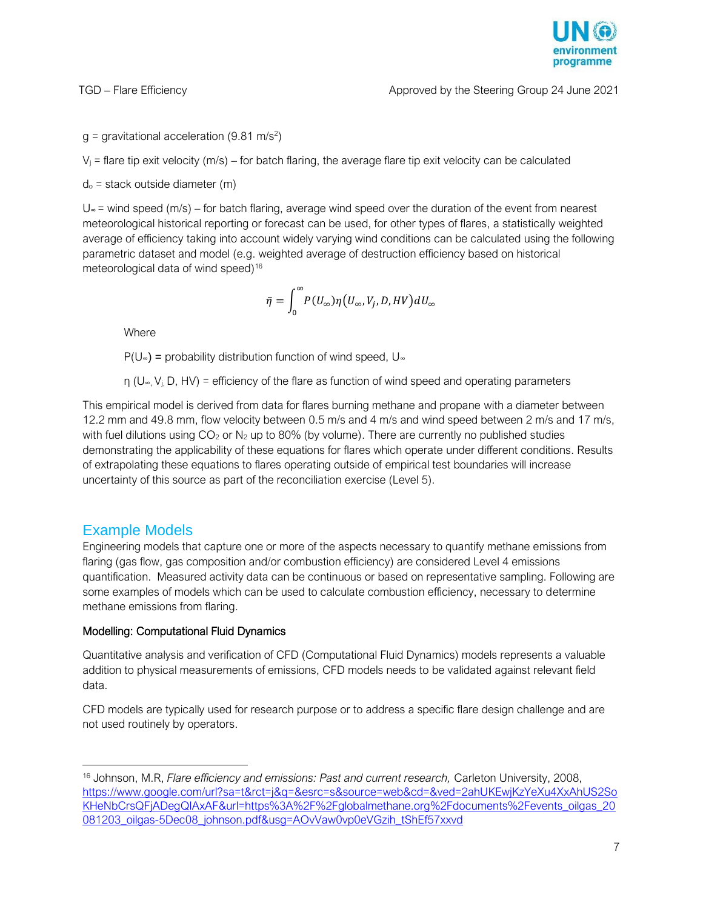programme

 $g =$  gravitational acceleration (9.81 m/s<sup>2</sup>)

 $V_i$  = flare tip exit velocity (m/s) – for batch flaring, the average flare tip exit velocity can be calculated

 $d_0$  = stack outside diameter (m)

U<sup>∞</sup> = wind speed (m/s) – for batch flaring, average wind speed over the duration of the event from nearest meteorological historical reporting or forecast can be used, for other types of flares, a statistically weighted average of efficiency taking into account widely varying wind conditions can be calculated using the following parametric dataset and model (e.g. weighted average of destruction efficiency based on historical meteorological data of wind speed)<sup>16</sup>

$$
\bar{\eta} = \int_0^\infty\!P(U_\infty)\eta\big(U_\infty,V_j,D,HV\big)dU_\infty
$$

**Where** 

 $P(U_{\infty})$  = probability distribution function of wind speed, U<sub>∞</sub>

 $η$  (U<sub>∞</sub>, V<sub>i</sub>, D, HV) = efficiency of the flare as function of wind speed and operating parameters

This empirical model is derived from data for flares burning methane and propane with a diameter between 12.2 mm and 49.8 mm, flow velocity between 0.5 m/s and 4 m/s and wind speed between 2 m/s and 17 m/s, with fuel dilutions using  $CO<sub>2</sub>$  or  $N<sub>2</sub>$  up to 80% (by volume). There are currently no published studies demonstrating the applicability of these equations for flares which operate under different conditions. Results of extrapolating these equations to flares operating outside of empirical test boundaries will increase uncertainty of this source as part of the reconciliation exercise (Level 5).

### Example Models

j

Engineering models that capture one or more of the aspects necessary to quantify methane emissions from flaring (gas flow, gas composition and/or combustion efficiency) are considered Level 4 emissions quantification. Measured activity data can be continuous or based on representative sampling. Following are some examples of models which can be used to calculate combustion efficiency, necessary to determine methane emissions from flaring.

#### Modelling: Computational Fluid Dynamics

Quantitative analysis and verification of CFD (Computational Fluid Dynamics) models represents a valuable addition to physical measurements of emissions, CFD models needs to be validated against relevant field data.

CFD models are typically used for research purpose or to address a specific flare design challenge and are not used routinely by operators.

<sup>16</sup> Johnson, M.R, *Flare efficiency and emissions: Past and current research,* Carleton University, 2008, [https://www.google.com/url?sa=t&rct=j&q=&esrc=s&source=web&cd=&ved=2ahUKEwjKzYeXu4XxAhUS2So](https://www.google.com/url?sa=t&rct=j&q=&esrc=s&source=web&cd=&ved=2ahUKEwjKzYeXu4XxAhUS2SoKHeNbCrsQFjADegQIAxAF&url=https%3A%2F%2Fglobalmethane.org%2Fdocuments%2Fevents_oilgas_20081203_oilgas-5Dec08_johnson.pdf&usg=AOvVaw0vp0eVGzih_tShEf57xxvd) [KHeNbCrsQFjADegQIAxAF&url=https%3A%2F%2Fglobalmethane.org%2Fdocuments%2Fevents\\_oilgas\\_20](https://www.google.com/url?sa=t&rct=j&q=&esrc=s&source=web&cd=&ved=2ahUKEwjKzYeXu4XxAhUS2SoKHeNbCrsQFjADegQIAxAF&url=https%3A%2F%2Fglobalmethane.org%2Fdocuments%2Fevents_oilgas_20081203_oilgas-5Dec08_johnson.pdf&usg=AOvVaw0vp0eVGzih_tShEf57xxvd) [081203\\_oilgas-5Dec08\\_johnson.pdf&usg=AOvVaw0vp0eVGzih\\_tShEf57xxvd](https://www.google.com/url?sa=t&rct=j&q=&esrc=s&source=web&cd=&ved=2ahUKEwjKzYeXu4XxAhUS2SoKHeNbCrsQFjADegQIAxAF&url=https%3A%2F%2Fglobalmethane.org%2Fdocuments%2Fevents_oilgas_20081203_oilgas-5Dec08_johnson.pdf&usg=AOvVaw0vp0eVGzih_tShEf57xxvd)